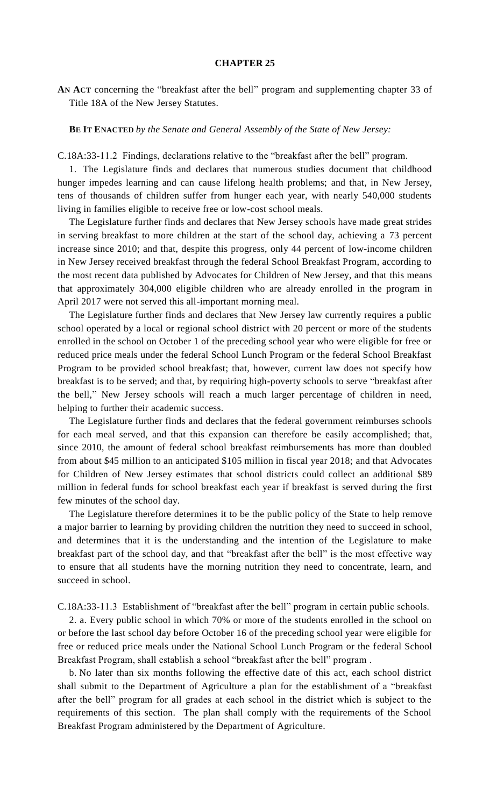## **CHAPTER 25**

**AN ACT** concerning the "breakfast after the bell" program and supplementing chapter 33 of Title 18A of the New Jersey Statutes.

## **BE IT ENACTED** *by the Senate and General Assembly of the State of New Jersey:*

C.18A:33-11.2 Findings, declarations relative to the "breakfast after the bell" program.

1. The Legislature finds and declares that numerous studies document that childhood hunger impedes learning and can cause lifelong health problems; and that, in New Jersey, tens of thousands of children suffer from hunger each year, with nearly 540,000 students living in families eligible to receive free or low-cost school meals.

The Legislature further finds and declares that New Jersey schools have made great strides in serving breakfast to more children at the start of the school day, achieving a 73 percent increase since 2010; and that, despite this progress, only 44 percent of low-income children in New Jersey received breakfast through the federal School Breakfast Program, according to the most recent data published by Advocates for Children of New Jersey, and that this means that approximately 304,000 eligible children who are already enrolled in the program in April 2017 were not served this all-important morning meal.

The Legislature further finds and declares that New Jersey law currently requires a public school operated by a local or regional school district with 20 percent or more of the students enrolled in the school on October 1 of the preceding school year who were eligible for free or reduced price meals under the federal School Lunch Program or the federal School Breakfast Program to be provided school breakfast; that, however, current law does not specify how breakfast is to be served; and that, by requiring high-poverty schools to serve "breakfast after the bell," New Jersey schools will reach a much larger percentage of children in need, helping to further their academic success.

The Legislature further finds and declares that the federal government reimburses schools for each meal served, and that this expansion can therefore be easily accomplished; that, since 2010, the amount of federal school breakfast reimbursements has more than doubled from about \$45 million to an anticipated \$105 million in fiscal year 2018; and that Advocates for Children of New Jersey estimates that school districts could collect an additional \$89 million in federal funds for school breakfast each year if breakfast is served during the first few minutes of the school day.

The Legislature therefore determines it to be the public policy of the State to help remove a major barrier to learning by providing children the nutrition they need to succeed in school, and determines that it is the understanding and the intention of the Legislature to make breakfast part of the school day, and that "breakfast after the bell" is the most effective way to ensure that all students have the morning nutrition they need to concentrate, learn, and succeed in school.

C.18A:33-11.3 Establishment of "breakfast after the bell" program in certain public schools.

2. a. Every public school in which 70% or more of the students enrolled in the school on or before the last school day before October 16 of the preceding school year were eligible for free or reduced price meals under the National School Lunch Program or the federal School Breakfast Program, shall establish a school "breakfast after the bell" program .

b. No later than six months following the effective date of this act, each school district shall submit to the Department of Agriculture a plan for the establishment of a "breakfast after the bell" program for all grades at each school in the district which is subject to the requirements of this section. The plan shall comply with the requirements of the School Breakfast Program administered by the Department of Agriculture.